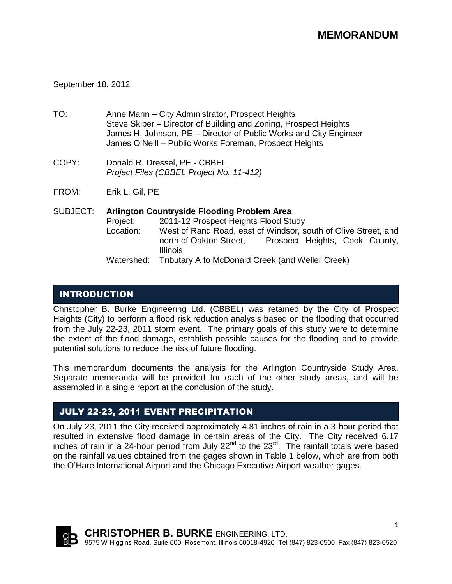## September 18, 2012

- TO: Anne Marin City Administrator, Prospect Heights Steve Skiber – Director of Building and Zoning, Prospect Heights James H. Johnson, PE – Director of Public Works and City Engineer James O'Neill – Public Works Foreman, Prospect Heights
- COPY: Donald R. Dressel, PE CBBEL *Project Files (CBBEL Project No. 11-412)*
- FROM: Erik L. Gil, PE
- SUBJECT: **Arlington Countryside Flooding Problem Area** Project: 2011-12 Prospect Heights Flood Study Location: West of Rand Road, east of Windsor, south of Olive Street, and north of Oakton Street, Prospect Heights, Cook County, Illinois Watershed: Tributary A to McDonald Creek (and Weller Creek)

## INTRODUCTION

Christopher B. Burke Engineering Ltd. (CBBEL) was retained by the City of Prospect Heights (City) to perform a flood risk reduction analysis based on the flooding that occurred from the July 22-23, 2011 storm event. The primary goals of this study were to determine the extent of the flood damage, establish possible causes for the flooding and to provide potential solutions to reduce the risk of future flooding.

This memorandum documents the analysis for the Arlington Countryside Study Area. Separate memoranda will be provided for each of the other study areas, and will be assembled in a single report at the conclusion of the study.

## JULY 22-23, 2011 EVENT PRECIPITATION

On July 23, 2011 the City received approximately 4.81 inches of rain in a 3-hour period that resulted in extensive flood damage in certain areas of the City. The City received 6.17 inches of rain in a 24-hour period from July  $22^{nd}$  to the  $23^{rd}$ . The rainfall totals were based on the rainfall values obtained from the gages shown in Table 1 below, which are from both the O'Hare International Airport and the Chicago Executive Airport weather gages.

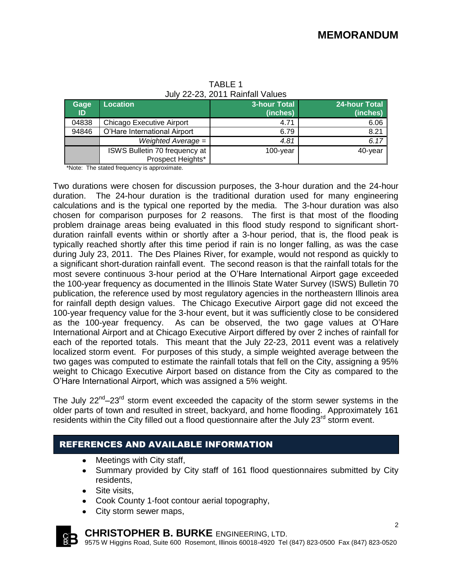| Gage<br>ID | Location                      | 3-hour Total<br>(inches) | <b>24-hour Total</b><br>(inches) |
|------------|-------------------------------|--------------------------|----------------------------------|
| 04838      | Chicago Executive Airport     | 4.71                     | 6.06                             |
| 94846      | O'Hare International Airport  | 6.79                     | 8.21                             |
|            | Weighted Average =            | 4.81                     | 6.17                             |
|            | ISWS Bulletin 70 frequency at | $100$ -year              | 40-year                          |
|            | Prospect Heights*             |                          |                                  |

TABLE 1 July 22-23, 2011 Rainfall Values

\*Note: The stated frequency is approximate.

Two durations were chosen for discussion purposes, the 3-hour duration and the 24-hour duration. The 24-hour duration is the traditional duration used for many engineering calculations and is the typical one reported by the media. The 3-hour duration was also chosen for comparison purposes for 2 reasons. The first is that most of the flooding problem drainage areas being evaluated in this flood study respond to significant shortduration rainfall events within or shortly after a 3-hour period, that is, the flood peak is typically reached shortly after this time period if rain is no longer falling, as was the case during July 23, 2011. The Des Plaines River, for example, would not respond as quickly to a significant short-duration rainfall event. The second reason is that the rainfall totals for the most severe continuous 3-hour period at the O'Hare International Airport gage exceeded the 100-year frequency as documented in the Illinois State Water Survey (ISWS) Bulletin 70 publication, the reference used by most regulatory agencies in the northeastern Illinois area for rainfall depth design values. The Chicago Executive Airport gage did not exceed the 100-year frequency value for the 3-hour event, but it was sufficiently close to be considered as the 100-year frequency. As can be observed, the two gage values at O'Hare International Airport and at Chicago Executive Airport differed by over 2 inches of rainfall for each of the reported totals. This meant that the July 22-23, 2011 event was a relatively localized storm event. For purposes of this study, a simple weighted average between the two gages was computed to estimate the rainfall totals that fell on the City, assigning a 95% weight to Chicago Executive Airport based on distance from the City as compared to the O'Hare International Airport, which was assigned a 5% weight.

The July  $22^{nd}-23^{rd}$  storm event exceeded the capacity of the storm sewer systems in the older parts of town and resulted in street, backyard, and home flooding. Approximately 161 residents within the City filled out a flood questionnaire after the July  $23<sup>rd</sup>$  storm event.

## REFERENCES AND AVAILABLE INFORMATION

- Meetings with City staff,
- Summary provided by City staff of 161 flood questionnaires submitted by City residents,
- Site visits,
- Cook County 1-foot contour aerial topography,
- City storm sewer maps,



## **CHRISTOPHER B. BURKE** ENGINEERING, LTD.

9575 W Higgins Road, Suite 600 Rosemont, Illinois 60018-4920 Tel (847) 823-0500 Fax (847) 823-0520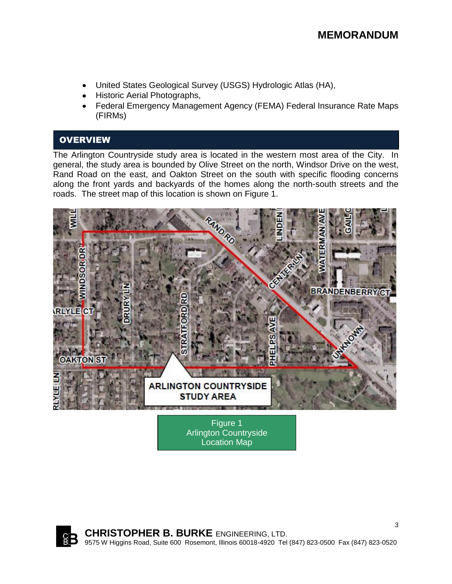# **MEMORANDUM**

- United States Geological Survey (USGS) Hydrologic Atlas (HA),
- Historic Aerial Photographs,
- Federal Emergency Management Agency (FEMA) Federal Insurance Rate Maps (FIRMs)

## **OVERVIEW**

The Arlington Countryside study area is located in the western most area of the City. In general, the study area is bounded by Olive Street on the north, Windsor Drive on the west, Rand Road on the east, and Oakton Street on the south with specific flooding concerns along the front yards and backyards of the homes along the north-south streets and the roads. The street map of this location is shown on Figure 1.



Figure 1 Arlington Countryside Location Map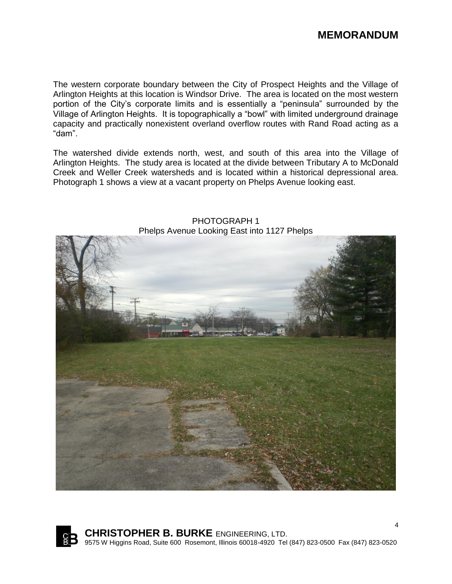The western corporate boundary between the City of Prospect Heights and the Village of Arlington Heights at this location is Windsor Drive. The area is located on the most western portion of the City's corporate limits and is essentially a "peninsula" surrounded by the Village of Arlington Heights. It is topographically a "bowl" with limited underground drainage capacity and practically nonexistent overland overflow routes with Rand Road acting as a "dam".

The watershed divide extends north, west, and south of this area into the Village of Arlington Heights. The study area is located at the divide between Tributary A to McDonald Creek and Weller Creek watersheds and is located within a historical depressional area. Photograph 1 shows a view at a vacant property on Phelps Avenue looking east.



PHOTOGRAPH 1 Phelps Avenue Looking East into 1127 Phelps

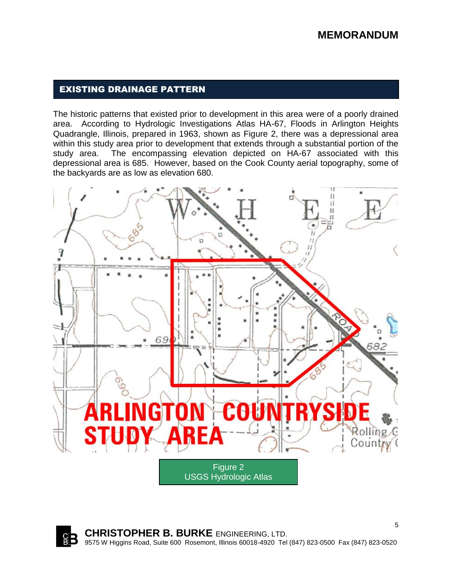## EXISTING DRAINAGE PATTERN

The historic patterns that existed prior to development in this area were of a poorly drained area. According to Hydrologic Investigations Atlas HA-67, Floods in Arlington Heights Quadrangle, Illinois, prepared in 1963, shown as Figure 2, there was a depressional area within this study area prior to development that extends through a substantial portion of the study area. The encompassing elevation depicted on HA-67 associated with this depressional area is 685. However, based on the Cook County aerial topography, some of the backyards are as low as elevation 680.



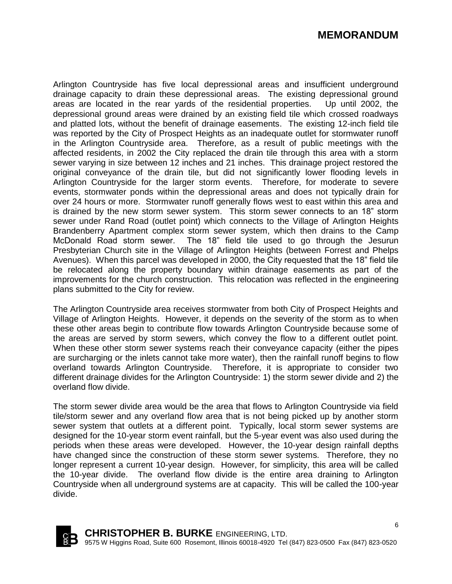## **MEMORANDUM**

Arlington Countryside has five local depressional areas and insufficient underground drainage capacity to drain these depressional areas. The existing depressional ground areas are located in the rear yards of the residential properties. Up until 2002, the depressional ground areas were drained by an existing field tile which crossed roadways and platted lots, without the benefit of drainage easements. The existing 12-inch field tile was reported by the City of Prospect Heights as an inadequate outlet for stormwater runoff in the Arlington Countryside area. Therefore, as a result of public meetings with the affected residents, in 2002 the City replaced the drain tile through this area with a storm sewer varying in size between 12 inches and 21 inches. This drainage project restored the original conveyance of the drain tile, but did not significantly lower flooding levels in Arlington Countryside for the larger storm events. Therefore, for moderate to severe events, stormwater ponds within the depressional areas and does not typically drain for over 24 hours or more. Stormwater runoff generally flows west to east within this area and is drained by the new storm sewer system. This storm sewer connects to an 18" storm sewer under Rand Road (outlet point) which connects to the Village of Arlington Heights Brandenberry Apartment complex storm sewer system, which then drains to the Camp McDonald Road storm sewer. The 18" field tile used to go through the Jesurun Presbyterian Church site in the Village of Arlington Heights (between Forrest and Phelps Avenues). When this parcel was developed in 2000, the City requested that the 18" field tile be relocated along the property boundary within drainage easements as part of the improvements for the church construction. This relocation was reflected in the engineering plans submitted to the City for review.

The Arlington Countryside area receives stormwater from both City of Prospect Heights and Village of Arlington Heights. However, it depends on the severity of the storm as to when these other areas begin to contribute flow towards Arlington Countryside because some of the areas are served by storm sewers, which convey the flow to a different outlet point. When these other storm sewer systems reach their conveyance capacity (either the pipes are surcharging or the inlets cannot take more water), then the rainfall runoff begins to flow overland towards Arlington Countryside. Therefore, it is appropriate to consider two different drainage divides for the Arlington Countryside: 1) the storm sewer divide and 2) the overland flow divide.

The storm sewer divide area would be the area that flows to Arlington Countryside via field tile/storm sewer and any overland flow area that is not being picked up by another storm sewer system that outlets at a different point. Typically, local storm sewer systems are designed for the 10-year storm event rainfall, but the 5-year event was also used during the periods when these areas were developed. However, the 10-year design rainfall depths have changed since the construction of these storm sewer systems. Therefore, they no longer represent a current 10-year design. However, for simplicity, this area will be called the 10-year divide. The overland flow divide is the entire area draining to Arlington Countryside when all underground systems are at capacity. This will be called the 100-year divide.

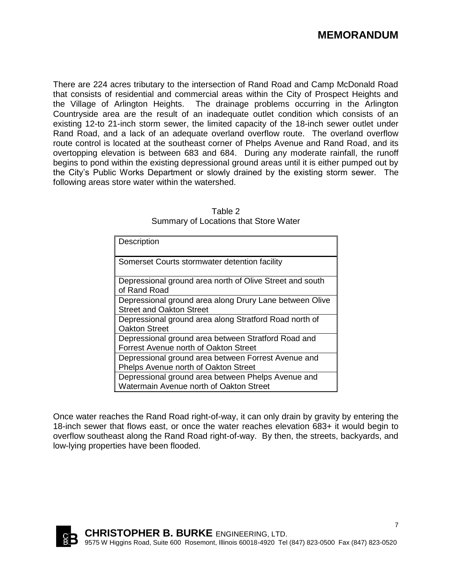There are 224 acres tributary to the intersection of Rand Road and Camp McDonald Road that consists of residential and commercial areas within the City of Prospect Heights and the Village of Arlington Heights. The drainage problems occurring in the Arlington Countryside area are the result of an inadequate outlet condition which consists of an existing 12-to 21-inch storm sewer, the limited capacity of the 18-inch sewer outlet under Rand Road, and a lack of an adequate overland overflow route. The overland overflow route control is located at the southeast corner of Phelps Avenue and Rand Road, and its overtopping elevation is between 683 and 684. During any moderate rainfall, the runoff begins to pond within the existing depressional ground areas until it is either pumped out by the City's Public Works Department or slowly drained by the existing storm sewer. The following areas store water within the watershed.

| Description                                                                                   |
|-----------------------------------------------------------------------------------------------|
| Somerset Courts stormwater detention facility                                                 |
| Depressional ground area north of Olive Street and south<br>of Rand Road                      |
| Depressional ground area along Drury Lane between Olive<br><b>Street and Oakton Street</b>    |
| Depressional ground area along Stratford Road north of<br>Oakton Street                       |
| Depressional ground area between Stratford Road and<br>Forrest Avenue north of Oakton Street  |
| Depressional ground area between Forrest Avenue and<br>Phelps Avenue north of Oakton Street   |
| Depressional ground area between Phelps Avenue and<br>Watermain Avenue north of Oakton Street |

Table 2 Summary of Locations that Store Water

Once water reaches the Rand Road right-of-way, it can only drain by gravity by entering the 18-inch sewer that flows east, or once the water reaches elevation 683+ it would begin to overflow southeast along the Rand Road right-of-way. By then, the streets, backyards, and low-lying properties have been flooded.

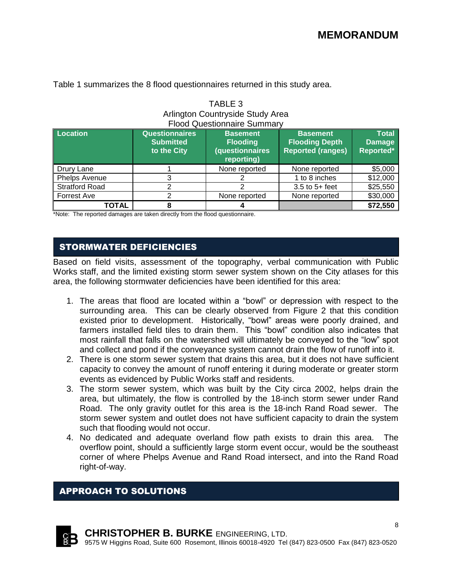| Arlington Countryside Study Area                               |                                                          |                                                                            |                                                                      |                                            |  |  |  |  |
|----------------------------------------------------------------|----------------------------------------------------------|----------------------------------------------------------------------------|----------------------------------------------------------------------|--------------------------------------------|--|--|--|--|
| <b>Flood Questionnaire Summary</b>                             |                                                          |                                                                            |                                                                      |                                            |  |  |  |  |
| Location                                                       | <b>Questionnaires</b><br><b>Submitted</b><br>to the City | <b>Basement</b><br><b>Flooding</b><br><b>(questionnaires</b><br>reporting) | <b>Basement</b><br><b>Flooding Depth</b><br><b>Reported (ranges)</b> | <b>Total</b><br><b>Damage</b><br>Reported* |  |  |  |  |
| Drury Lane                                                     |                                                          | None reported                                                              | None reported                                                        | \$5,000                                    |  |  |  |  |
| Phelps Avenue                                                  | 3                                                        |                                                                            | 1 to 8 inches                                                        | \$12,000                                   |  |  |  |  |
| <b>Stratford Road</b>                                          | റ                                                        |                                                                            | $3.5$ to $5+$ feet                                                   | \$25,550                                   |  |  |  |  |
| \$30,000<br>Forrest Ave<br>None reported<br>າ<br>None reported |                                                          |                                                                            |                                                                      |                                            |  |  |  |  |
| TOTAL                                                          | \$72,550                                                 |                                                                            |                                                                      |                                            |  |  |  |  |

TABLE 3

Table 1 summarizes the 8 flood questionnaires returned in this study area.

\*Note: The reported damages are taken directly from the flood questionnaire.

## STORMWATER DEFICIENCIES

Based on field visits, assessment of the topography, verbal communication with Public Works staff, and the limited existing storm sewer system shown on the City atlases for this area, the following stormwater deficiencies have been identified for this area:

- 1. The areas that flood are located within a "bowl" or depression with respect to the surrounding area. This can be clearly observed from Figure 2 that this condition existed prior to development. Historically, "bowl" areas were poorly drained, and farmers installed field tiles to drain them. This "bowl" condition also indicates that most rainfall that falls on the watershed will ultimately be conveyed to the "low" spot and collect and pond if the conveyance system cannot drain the flow of runoff into it.
- 2. There is one storm sewer system that drains this area, but it does not have sufficient capacity to convey the amount of runoff entering it during moderate or greater storm events as evidenced by Public Works staff and residents.
- 3. The storm sewer system, which was built by the City circa 2002, helps drain the area, but ultimately, the flow is controlled by the 18-inch storm sewer under Rand Road. The only gravity outlet for this area is the 18-inch Rand Road sewer. The storm sewer system and outlet does not have sufficient capacity to drain the system such that flooding would not occur.
- 4. No dedicated and adequate overland flow path exists to drain this area. The overflow point, should a sufficiently large storm event occur, would be the southeast corner of where Phelps Avenue and Rand Road intersect, and into the Rand Road right-of-way.

## APPROACH TO SOLUTIONS

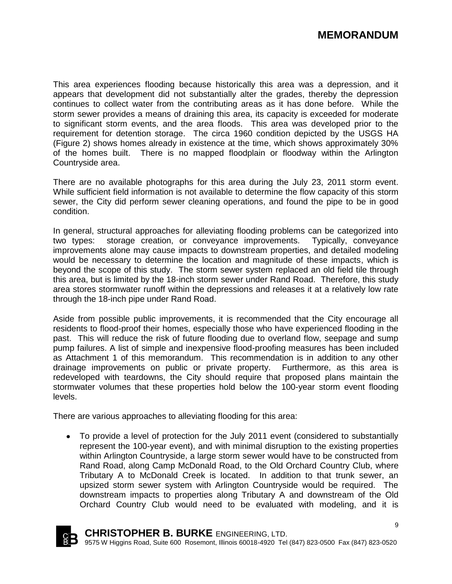9

This area experiences flooding because historically this area was a depression, and it appears that development did not substantially alter the grades, thereby the depression continues to collect water from the contributing areas as it has done before. While the storm sewer provides a means of draining this area, its capacity is exceeded for moderate to significant storm events, and the area floods. This area was developed prior to the requirement for detention storage. The circa 1960 condition depicted by the USGS HA (Figure 2) shows homes already in existence at the time, which shows approximately 30% of the homes built. There is no mapped floodplain or floodway within the Arlington Countryside area.

There are no available photographs for this area during the July 23, 2011 storm event. While sufficient field information is not available to determine the flow capacity of this storm sewer, the City did perform sewer cleaning operations, and found the pipe to be in good condition.

In general, structural approaches for alleviating flooding problems can be categorized into two types: storage creation, or conveyance improvements. Typically, conveyance improvements alone may cause impacts to downstream properties, and detailed modeling would be necessary to determine the location and magnitude of these impacts, which is beyond the scope of this study. The storm sewer system replaced an old field tile through this area, but is limited by the 18-inch storm sewer under Rand Road. Therefore, this study area stores stormwater runoff within the depressions and releases it at a relatively low rate through the 18-inch pipe under Rand Road.

Aside from possible public improvements, it is recommended that the City encourage all residents to flood-proof their homes, especially those who have experienced flooding in the past. This will reduce the risk of future flooding due to overland flow, seepage and sump pump failures. A list of simple and inexpensive flood-proofing measures has been included as Attachment 1 of this memorandum. This recommendation is in addition to any other drainage improvements on public or private property. Furthermore, as this area is redeveloped with teardowns, the City should require that proposed plans maintain the stormwater volumes that these properties hold below the 100-year storm event flooding levels.

There are various approaches to alleviating flooding for this area:

To provide a level of protection for the July 2011 event (considered to substantially  $\bullet$ represent the 100-year event), and with minimal disruption to the existing properties within Arlington Countryside, a large storm sewer would have to be constructed from Rand Road, along Camp McDonald Road, to the Old Orchard Country Club, where Tributary A to McDonald Creek is located. In addition to that trunk sewer, an upsized storm sewer system with Arlington Countryside would be required. The downstream impacts to properties along Tributary A and downstream of the Old Orchard Country Club would need to be evaluated with modeling, and it is



**CHRISTOPHER B. BURKE** ENGINEERING, LTD.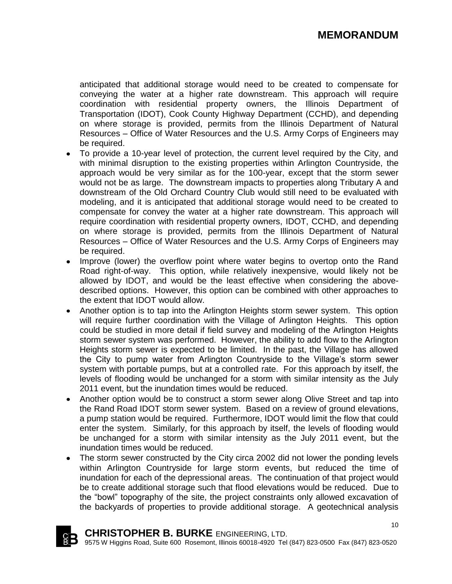anticipated that additional storage would need to be created to compensate for conveying the water at a higher rate downstream. This approach will require coordination with residential property owners, the Illinois Department of Transportation (IDOT), Cook County Highway Department (CCHD), and depending on where storage is provided, permits from the Illinois Department of Natural Resources – Office of Water Resources and the U.S. Army Corps of Engineers may be required.

- To provide a 10-year level of protection, the current level required by the City, and with minimal disruption to the existing properties within Arlington Countryside, the approach would be very similar as for the 100-year, except that the storm sewer would not be as large. The downstream impacts to properties along Tributary A and downstream of the Old Orchard Country Club would still need to be evaluated with modeling, and it is anticipated that additional storage would need to be created to compensate for convey the water at a higher rate downstream. This approach will require coordination with residential property owners, IDOT, CCHD, and depending on where storage is provided, permits from the Illinois Department of Natural Resources – Office of Water Resources and the U.S. Army Corps of Engineers may be required.
- Improve (lower) the overflow point where water begins to overtop onto the Rand Road right-of-way. This option, while relatively inexpensive, would likely not be allowed by IDOT, and would be the least effective when considering the abovedescribed options. However, this option can be combined with other approaches to the extent that IDOT would allow.
- Another option is to tap into the Arlington Heights storm sewer system. This option will require further coordination with the Village of Arlington Heights. This option could be studied in more detail if field survey and modeling of the Arlington Heights storm sewer system was performed. However, the ability to add flow to the Arlington Heights storm sewer is expected to be limited. In the past, the Village has allowed the City to pump water from Arlington Countryside to the Village's storm sewer system with portable pumps, but at a controlled rate. For this approach by itself, the levels of flooding would be unchanged for a storm with similar intensity as the July 2011 event, but the inundation times would be reduced.
- Another option would be to construct a storm sewer along Olive Street and tap into  $\bullet$ the Rand Road IDOT storm sewer system. Based on a review of ground elevations, a pump station would be required. Furthermore, IDOT would limit the flow that could enter the system. Similarly, for this approach by itself, the levels of flooding would be unchanged for a storm with similar intensity as the July 2011 event, but the inundation times would be reduced.
- The storm sewer constructed by the City circa 2002 did not lower the ponding levels within Arlington Countryside for large storm events, but reduced the time of inundation for each of the depressional areas. The continuation of that project would be to create additional storage such that flood elevations would be reduced. Due to the "bowl" topography of the site, the project constraints only allowed excavation of the backyards of properties to provide additional storage. A geotechnical analysis

**CHRISTOPHER B. BURKE** ENGINEERING, LTD. 9575 W Higgins Road, Suite 600 Rosemont, Illinois 60018-4920 Tel (847) 823-0500 Fax (847) 823-0520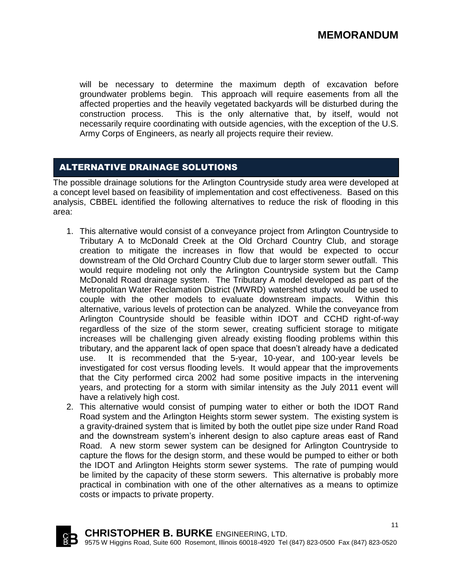will be necessary to determine the maximum depth of excavation before groundwater problems begin. This approach will require easements from all the affected properties and the heavily vegetated backyards will be disturbed during the construction process. This is the only alternative that, by itself, would not necessarily require coordinating with outside agencies, with the exception of the U.S. Army Corps of Engineers, as nearly all projects require their review.

## ALTERNATIVE DRAINAGE SOLUTIONS

The possible drainage solutions for the Arlington Countryside study area were developed at a concept level based on feasibility of implementation and cost effectiveness. Based on this analysis, CBBEL identified the following alternatives to reduce the risk of flooding in this area:

- 1. This alternative would consist of a conveyance project from Arlington Countryside to Tributary A to McDonald Creek at the Old Orchard Country Club, and storage creation to mitigate the increases in flow that would be expected to occur downstream of the Old Orchard Country Club due to larger storm sewer outfall. This would require modeling not only the Arlington Countryside system but the Camp McDonald Road drainage system. The Tributary A model developed as part of the Metropolitan Water Reclamation District (MWRD) watershed study would be used to couple with the other models to evaluate downstream impacts. Within this alternative, various levels of protection can be analyzed. While the conveyance from Arlington Countryside should be feasible within IDOT and CCHD right-of-way regardless of the size of the storm sewer, creating sufficient storage to mitigate increases will be challenging given already existing flooding problems within this tributary, and the apparent lack of open space that doesn't already have a dedicated use. It is recommended that the 5-year, 10-year, and 100-year levels be investigated for cost versus flooding levels. It would appear that the improvements that the City performed circa 2002 had some positive impacts in the intervening years, and protecting for a storm with similar intensity as the July 2011 event will have a relatively high cost.
- 2. This alternative would consist of pumping water to either or both the IDOT Rand Road system and the Arlington Heights storm sewer system. The existing system is a gravity-drained system that is limited by both the outlet pipe size under Rand Road and the downstream system's inherent design to also capture areas east of Rand Road. A new storm sewer system can be designed for Arlington Countryside to capture the flows for the design storm, and these would be pumped to either or both the IDOT and Arlington Heights storm sewer systems. The rate of pumping would be limited by the capacity of these storm sewers. This alternative is probably more practical in combination with one of the other alternatives as a means to optimize costs or impacts to private property.

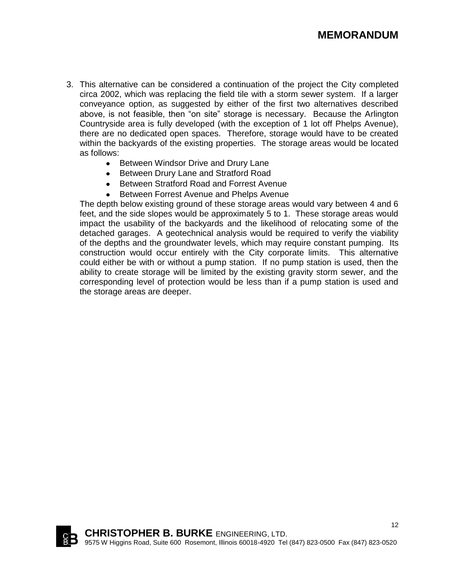- 3. This alternative can be considered a continuation of the project the City completed circa 2002, which was replacing the field tile with a storm sewer system. If a larger conveyance option, as suggested by either of the first two alternatives described above, is not feasible, then "on site" storage is necessary. Because the Arlington Countryside area is fully developed (with the exception of 1 lot off Phelps Avenue), there are no dedicated open spaces. Therefore, storage would have to be created within the backyards of the existing properties. The storage areas would be located as follows:
	- Between Windsor Drive and Drury Lane
	- Between Drury Lane and Stratford Road
	- Between Stratford Road and Forrest Avenue
	- Between Forrest Avenue and Phelps Avenue

The depth below existing ground of these storage areas would vary between 4 and 6 feet, and the side slopes would be approximately 5 to 1. These storage areas would impact the usability of the backyards and the likelihood of relocating some of the detached garages. A geotechnical analysis would be required to verify the viability of the depths and the groundwater levels, which may require constant pumping. Its construction would occur entirely with the City corporate limits. This alternative could either be with or without a pump station. If no pump station is used, then the ability to create storage will be limited by the existing gravity storm sewer, and the corresponding level of protection would be less than if a pump station is used and the storage areas are deeper.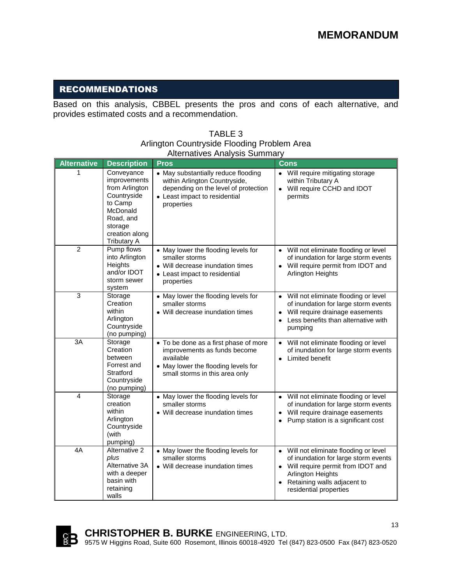## RECOMMENDATIONS

Based on this analysis, CBBEL presents the pros and cons of each alternative, and provides estimated costs and a recommendation.

### TABLE 3 Arlington Countryside Flooding Problem Area Alternatives Analysis Summary

| <b>Alternative</b> | <b>Description</b>                                                                                                                                 | <b>Pros</b>                                                                                                                                                 | <b>Cons</b>                                                                                                                                                                                                               |
|--------------------|----------------------------------------------------------------------------------------------------------------------------------------------------|-------------------------------------------------------------------------------------------------------------------------------------------------------------|---------------------------------------------------------------------------------------------------------------------------------------------------------------------------------------------------------------------------|
| 1                  | Conveyance<br>improvements<br>from Arlington<br>Countryside<br>to Camp<br>McDonald<br>Road, and<br>storage<br>creation along<br><b>Tributary A</b> | • May substantially reduce flooding<br>within Arlington Countryside,<br>depending on the level of protection<br>• Least impact to residential<br>properties | • Will require mitigating storage<br>within Tributary A<br>Will require CCHD and IDOT<br>$\bullet$<br>permits                                                                                                             |
| $\overline{2}$     | Pump flows<br>into Arlington<br>Heights<br>and/or IDOT<br>storm sewer<br>system                                                                    | • May lower the flooding levels for<br>smaller storms<br>• Will decrease inundation times<br>• Least impact to residential<br>properties                    | • Will not eliminate flooding or level<br>of inundation for large storm events<br>Will require permit from IDOT and<br>$\bullet$<br>Arlington Heights                                                                     |
| $\overline{3}$     | Storage<br>Creation<br>within<br>Arlington<br>Countryside<br>(no pumping)                                                                          | • May lower the flooding levels for<br>smaller storms<br>• Will decrease inundation times                                                                   | Will not eliminate flooding or level<br>$\bullet$<br>of inundation for large storm events<br>Will require drainage easements<br>Less benefits than alternative with<br>$\bullet$<br>pumping                               |
| 3A                 | Storage<br>Creation<br>between<br>Forrest and<br>Stratford<br>Countryside<br>(no pumping)                                                          | • To be done as a first phase of more<br>improvements as funds become<br>available<br>• May lower the flooding levels for<br>small storms in this area only | Will not eliminate flooding or level<br>$\bullet$<br>of inundation for large storm events<br>Limited benefit<br>$\bullet$                                                                                                 |
| 4                  | Storage<br>creation<br>within<br>Arlington<br>Countryside<br>(with<br>pumping)                                                                     | • May lower the flooding levels for<br>smaller storms<br>• Will decrease inundation times                                                                   | • Will not eliminate flooding or level<br>of inundation for large storm events<br>Will require drainage easements<br>$\bullet$<br>Pump station is a significant cost                                                      |
| 4A                 | Alternative 2<br>plus<br>Alternative 3A<br>with a deeper<br>basin with<br>retaining<br>walls                                                       | • May lower the flooding levels for<br>smaller storms<br>• Will decrease inundation times                                                                   | Will not eliminate flooding or level<br>$\bullet$<br>of inundation for large storm events<br>Will require permit from IDOT and<br>Arlington Heights<br>Retaining walls adjacent to<br>$\bullet$<br>residential properties |

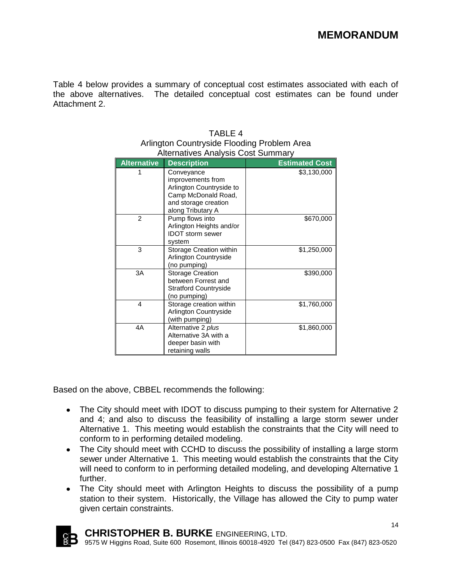Table 4 below provides a summary of conceptual cost estimates associated with each of the above alternatives. The detailed conceptual cost estimates can be found under Attachment 2.

| <b>Alternative</b>      | <b>Description</b>                                                                                                              | <b>Estimated Cost</b> |
|-------------------------|---------------------------------------------------------------------------------------------------------------------------------|-----------------------|
|                         | Conveyance<br>improvements from<br>Arlington Countryside to<br>Camp McDonald Road,<br>and storage creation<br>along Tributary A | \$3,130,000           |
| $\mathfrak{p}$          | Pump flows into<br>Arlington Heights and/or<br><b>IDOT</b> storm sewer<br>system                                                | \$670,000             |
| 3                       | Storage Creation within<br>Arlington Countryside<br>(no pumping)                                                                | \$1,250,000           |
| 3A                      | <b>Storage Creation</b><br>between Forrest and<br><b>Stratford Countryside</b><br>(no pumping)                                  | \$390,000             |
| $\overline{\mathbf{A}}$ | Storage creation within<br>Arlington Countryside<br>(with pumping)                                                              | \$1,760,000           |
| 4A                      | Alternative 2 plus<br>Alternative 3A with a<br>deeper basin with<br>retaining walls                                             | \$1,860,000           |

| TABLE 4                                     |
|---------------------------------------------|
| Arlington Countryside Flooding Problem Area |
| <b>Alternatives Analysis Cost Summary</b>   |

Based on the above, CBBEL recommends the following:

- The City should meet with IDOT to discuss pumping to their system for Alternative 2 and 4; and also to discuss the feasibility of installing a large storm sewer under Alternative 1. This meeting would establish the constraints that the City will need to conform to in performing detailed modeling.
- The City should meet with CCHD to discuss the possibility of installing a large storm sewer under Alternative 1. This meeting would establish the constraints that the City will need to conform to in performing detailed modeling, and developing Alternative 1 further.
- The City should meet with Arlington Heights to discuss the possibility of a pump station to their system. Historically, the Village has allowed the City to pump water given certain constraints.

**CHRISTOPHER B. BURKE** ENGINEERING, LTD. 9575 W Higgins Road, Suite 600 Rosemont, Illinois 60018-4920 Tel (847) 823-0500 Fax (847) 823-0520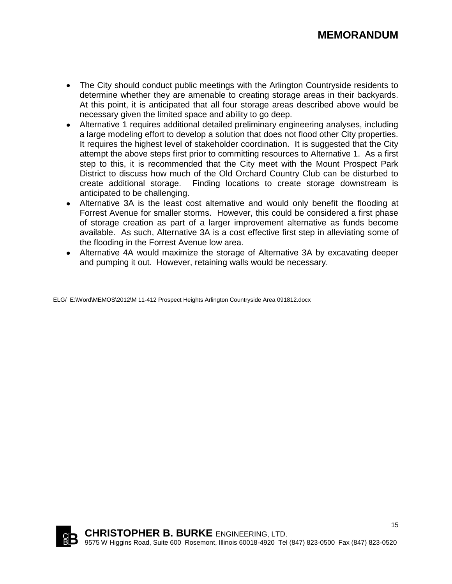## **MEMORANDUM**

- The City should conduct public meetings with the Arlington Countryside residents to determine whether they are amenable to creating storage areas in their backyards. At this point, it is anticipated that all four storage areas described above would be necessary given the limited space and ability to go deep.
- Alternative 1 requires additional detailed preliminary engineering analyses, including a large modeling effort to develop a solution that does not flood other City properties. It requires the highest level of stakeholder coordination. It is suggested that the City attempt the above steps first prior to committing resources to Alternative 1. As a first step to this, it is recommended that the City meet with the Mount Prospect Park District to discuss how much of the Old Orchard Country Club can be disturbed to create additional storage. Finding locations to create storage downstream is anticipated to be challenging.
- Alternative 3A is the least cost alternative and would only benefit the flooding at Forrest Avenue for smaller storms. However, this could be considered a first phase of storage creation as part of a larger improvement alternative as funds become available. As such, Alternative 3A is a cost effective first step in alleviating some of the flooding in the Forrest Avenue low area.
- Alternative 4A would maximize the storage of Alternative 3A by excavating deeper and pumping it out. However, retaining walls would be necessary.

ELG/ E:\Word\MEMOS\2012\M 11-412 Prospect Heights Arlington Countryside Area 091812.docx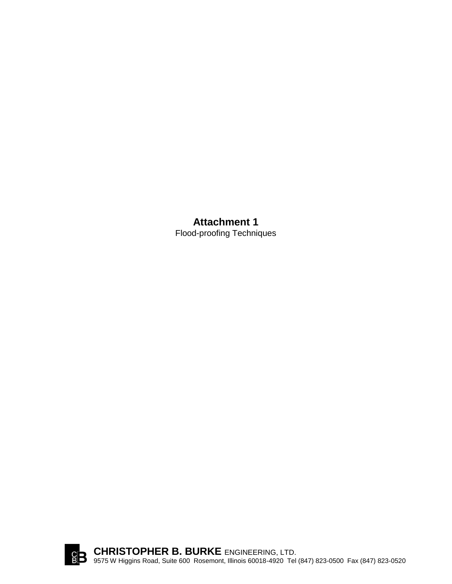## **Attachment 1** Flood-proofing Techniques

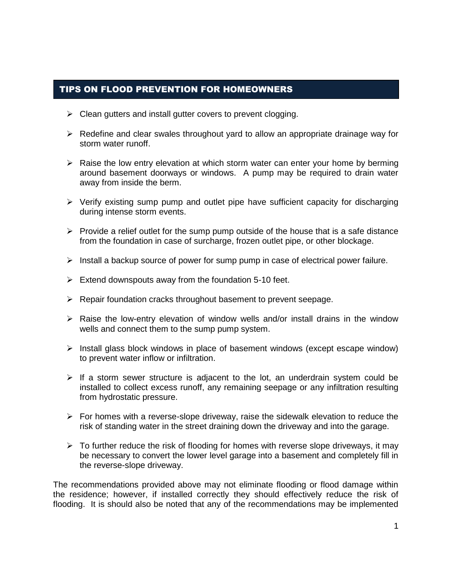## TIPS ON FLOOD PREVENTION FOR HOMEOWNERS

- $\triangleright$  Clean gutters and install gutter covers to prevent clogging.
- $\triangleright$  Redefine and clear swales throughout yard to allow an appropriate drainage way for storm water runoff.
- $\triangleright$  Raise the low entry elevation at which storm water can enter your home by berming around basement doorways or windows. A pump may be required to drain water away from inside the berm.
- $\triangleright$  Verify existing sump pump and outlet pipe have sufficient capacity for discharging during intense storm events.
- $\triangleright$  Provide a relief outlet for the sump pump outside of the house that is a safe distance from the foundation in case of surcharge, frozen outlet pipe, or other blockage.
- $\triangleright$  Install a backup source of power for sump pump in case of electrical power failure.
- $\triangleright$  Extend downspouts away from the foundation 5-10 feet.
- $\triangleright$  Repair foundation cracks throughout basement to prevent seepage.
- $\triangleright$  Raise the low-entry elevation of window wells and/or install drains in the window wells and connect them to the sump pump system.
- $\triangleright$  Install glass block windows in place of basement windows (except escape window) to prevent water inflow or infiltration.
- $\triangleright$  If a storm sewer structure is adjacent to the lot, an underdrain system could be installed to collect excess runoff, any remaining seepage or any infiltration resulting from hydrostatic pressure.
- $\triangleright$  For homes with a reverse-slope driveway, raise the sidewalk elevation to reduce the risk of standing water in the street draining down the driveway and into the garage.
- $\triangleright$  To further reduce the risk of flooding for homes with reverse slope driveways, it may be necessary to convert the lower level garage into a basement and completely fill in the reverse-slope driveway.

The recommendations provided above may not eliminate flooding or flood damage within the residence; however, if installed correctly they should effectively reduce the risk of flooding. It is should also be noted that any of the recommendations may be implemented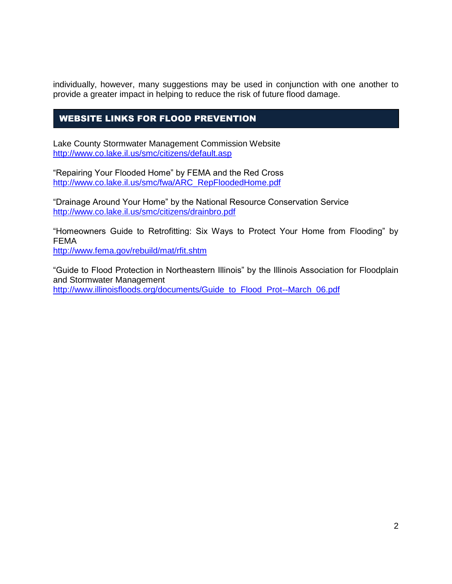individually, however, many suggestions may be used in conjunction with one another to provide a greater impact in helping to reduce the risk of future flood damage.

## WEBSITE LINKS FOR FLOOD PREVENTION

Lake County Stormwater Management Commission Website <http://www.co.lake.il.us/smc/citizens/default.asp>

"Repairing Your Flooded Home" by FEMA and the Red Cross [http://www.co.lake.il.us/smc/fwa/ARC\\_RepFloodedHome.pdf](http://www.co.lake.il.us/smc/fwa/ARC_RepFloodedHome.pdf)

"Drainage Around Your Home" by the National Resource Conservation Service <http://www.co.lake.il.us/smc/citizens/drainbro.pdf>

"Homeowners Guide to Retrofitting: Six Ways to Protect Your Home from Flooding" by FEMA

<http://www.fema.gov/rebuild/mat/rfit.shtm>

"Guide to Flood Protection in Northeastern Illinois" by the Illinois Association for Floodplain and Stormwater Management [http://www.illinoisfloods.org/documents/Guide\\_to\\_Flood\\_Prot--March\\_06.pdf](http://www.illinoisfloods.org/documents/Guide_to_Flood_Prot--March_06.pdf)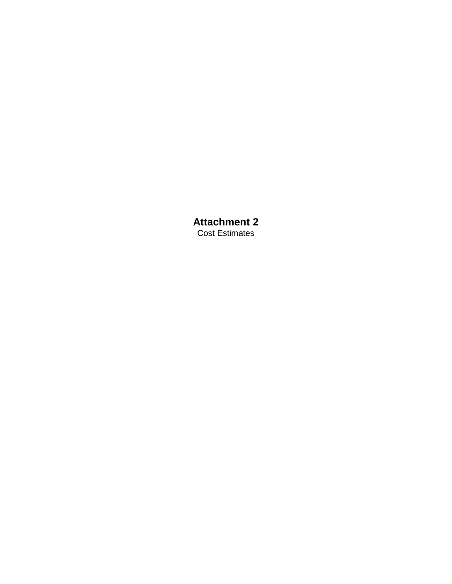**Attachment 2** Cost Estimates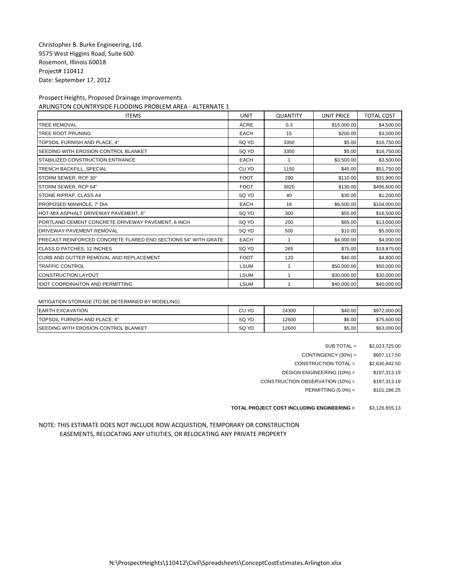| <b>ITEMS</b>                                                   | UNIT        | <b>QUANTITY</b> | <b>UNIT PRICE</b> | <b>TOTAL COST</b> |
|----------------------------------------------------------------|-------------|-----------------|-------------------|-------------------|
| <b>TREE REMOVAL</b>                                            | <b>ACRE</b> | 0.3             | \$15,000.00       | \$4,500.00        |
| <b>TREE ROOT PRUNING</b>                                       | <b>EACH</b> | 15              | \$200.00          | \$3,000.00        |
| TOPSOIL FURNISH AND PLACE, 4"                                  | SQ YD       | 3350            | \$5.00            | \$16,750.00       |
| SEEDING WITH EROSION CONTROL BLANKET                           | SQ YD       | 3350            | \$5.00            | \$16,750.00       |
| STABILIZED CONSTRUCTION ENTRANCE                               | <b>EACH</b> | 1               | \$3,500.00        | \$3,500.00        |
| <b>TRENCH BACKFILL, SPECIAL</b>                                | CU YD       | 1150            | \$45.00           | \$51,750.00       |
| STORM SEWER, RCP 30"                                           | <b>FOOT</b> | 290             | \$110.00          | \$31,900.00       |
| STORM SEWER, RCP 54"                                           | <b>FOOT</b> | 3820            | \$130.00          | \$496,600.00      |
| <b>STONE RIPRAP, CLASS A4</b>                                  | SQ YD       | 40              | \$30.00           | \$1,200.00        |
| PROPOSED MANHOLE, 7' DIA                                       | EACH        | 16              | \$6,500.00        | \$104,000.00      |
| HOT-MIX ASPHALT DRIVEWAY PAVEMENT, 6"                          | SQ YD       | 300             | \$55.00           | \$16,500.00       |
| PORTLAND CEMENT CONCRETE DRIVEWAY PAVEMENT, 6 INCH             | SQ YD       | 200             | \$65.00           | \$13,000.00       |
| <b>DRIVEWAY PAVEMENT REMOVAL</b>                               | SQ YD       | 500             | \$10.00           | \$5,000.00        |
| PRECAST REINFORCED CONCRETE FLARED END SECTIONS 54" WITH GRATE | <b>EACH</b> | 1               | \$4,000.00        | \$4,000.00        |
| CLASS D PATCHES, 12 INCHES                                     | SQ YD       | 265             | \$75.00           | \$19,875.00       |
| <b>CURB AND GUTTER REMOVAL AND REPLACEMENT</b>                 | <b>FOOT</b> | 120             | \$40.00           | \$4,800.00        |
| <b>TRAFFIC CONTROL</b>                                         | <b>LSUM</b> |                 | \$50,000.00       | \$50,000.00       |
| <b>CONSTRUCTION LAYOUT</b>                                     | <b>LSUM</b> | 1               | \$30,000.00       | \$30,000.00       |
| <b>IDOT COORDINAITON AND PERMITTING</b>                        | <b>LSUM</b> |                 | \$40,000.00       | \$40,000.00       |

MITIGATION STORAGE (TO BE DETERMINED BY MODELING)

| <b>EARTH EXCAVATION</b>                      | CU YD | 24300 | \$40.00 | \$972,000.00 |
|----------------------------------------------|-------|-------|---------|--------------|
| TOPSOIL FURNISH AND PLACE. 6"                | SQ YD | 12600 | \$6.00  | \$75,600.00  |
| <b>ISEEDING WITH EROSION CONTROL BLANKET</b> | SQ YD | 12600 | \$5.00  | \$63,000.00  |

| $SUB TOTAL =$ | \$2,023,725.00 |
|---------------|----------------|
|               |                |

 $CONTINGENCY (30%) =$  \$607,117.50

CONSTRUCTION TOTAL = \$2,630,842.50

DESIGN ENGINEERING (10%) = \$197,313.19

CONSTRUCTION OBSERVATION  $(10\%) =$  \$197,313.19

PERMITTING (5.0%) = \$101,186.25

**TOTAL PROJECT COST INCLUDING ENGINEERING =** \$3,126,655.13

NOTE: THIS ESTIMATE DOES NOT INCLUDE ROW ACQUISTION, TEMPORARY OR CONSTRUCTION EASEMENTS, RELOCATING ANY UTILITIES, OR RELOCATING ANY PRIVATE PROPERTY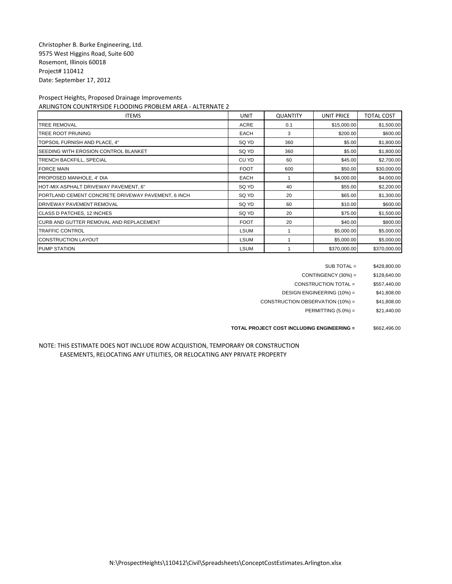| <b>ITEMS</b>                                       | <b>UNIT</b> | <b>QUANTITY</b> | <b>UNIT PRICE</b> | <b>TOTAL COST</b> |
|----------------------------------------------------|-------------|-----------------|-------------------|-------------------|
| <b>TREE REMOVAL</b>                                | <b>ACRE</b> | 0.1             | \$15,000.00       | \$1,500.00        |
| TREE ROOT PRUNING                                  | <b>EACH</b> | 3               | \$200.00          | \$600.00          |
| TOPSOIL FURNISH AND PLACE, 4"                      | SQ YD       | 360             | \$5.00            | \$1,800.00        |
| SEEDING WITH EROSION CONTROL BLANKET               | SQ YD       | 360             | \$5.00            | \$1,800.00        |
| <b>TRENCH BACKFILL, SPECIAL</b>                    | CU YD       | 60              | \$45.00           | \$2,700.00        |
| <b>FORCE MAIN</b>                                  | <b>FOOT</b> | 600             | \$50.00           | \$30,000.00       |
| PROPOSED MANHOLE, 4' DIA                           | <b>EACH</b> |                 | \$4,000.00        | \$4,000.00        |
| HOT-MIX ASPHALT DRIVEWAY PAVEMENT, 6"              | SQ YD       | 40              | \$55.00           | \$2,200.00        |
| PORTLAND CEMENT CONCRETE DRIVEWAY PAVEMENT, 6 INCH | SQ YD       | 20              | \$65.00           | \$1,300.00        |
| <b>DRIVEWAY PAVEMENT REMOVAL</b>                   | SQ YD       | 60              | \$10.00           | \$600.00          |
| CLASS D PATCHES, 12 INCHES                         | SQ YD       | 20              | \$75.00           | \$1,500.00        |
| CURB AND GUTTER REMOVAL AND REPLACEMENT            | <b>FOOT</b> | 20              | \$40.00           | \$800.00          |
| <b>TRAFFIC CONTROL</b>                             | <b>LSUM</b> |                 | \$5,000.00        | \$5,000.00        |
| <b>CONSTRUCTION LAYOUT</b>                         | <b>LSUM</b> |                 | \$5,000.00        | \$5,000.00        |
| <b>PUMP STATION</b>                                | <b>LSUM</b> |                 | \$370,000.00      | \$370,000.00      |

SUB TOTAL = \$428,800.00

 $CONTINGENCY (30%) =$  \$128,640.00

CONSTRUCTION TOTAL = \$557,440.00

DESIGN ENGINEERING (10%) = \$41,808.00

CONSTRUCTION OBSERVATION  $(10\%) =$  \$41,808.00

PERMITTING (5.0%) = \$21,440.00

**TOTAL PROJECT COST INCLUDING ENGINEERING =** \$662,496.00

### NOTE: THIS ESTIMATE DOES NOT INCLUDE ROW ACQUISTION, TEMPORARY OR CONSTRUCTION EASEMENTS, RELOCATING ANY UTILITIES, OR RELOCATING ANY PRIVATE PROPERTY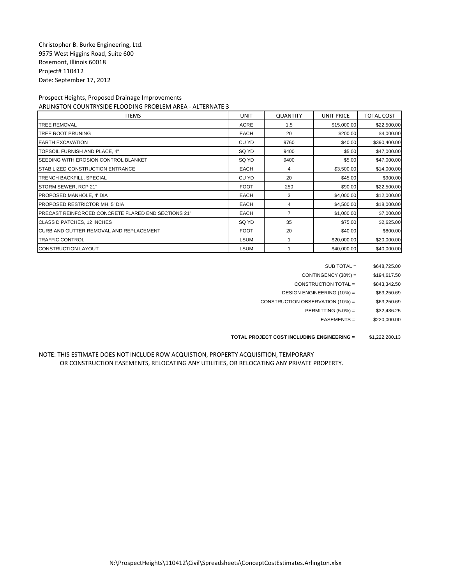| <b>ITEMS</b>                                        | <b>UNIT</b> | <b>QUANTITY</b> | <b>UNIT PRICE</b> | <b>TOTAL COST</b> |
|-----------------------------------------------------|-------------|-----------------|-------------------|-------------------|
| <b>TREE REMOVAL</b>                                 | <b>ACRE</b> | 1.5             | \$15,000.00       | \$22,500.00       |
| TREE ROOT PRUNING                                   | <b>EACH</b> | 20              | \$200.00          | \$4,000.00        |
| <b>EARTH EXCAVATION</b>                             | CU YD       | 9760            | \$40.00           | \$390,400.00      |
| TOPSOIL FURNISH AND PLACE, 4"                       | SQ YD       | 9400            | \$5.00            | \$47,000.00       |
| SEEDING WITH EROSION CONTROL BLANKET                | SQ YD       | 9400            | \$5.00            | \$47,000.00       |
| STABILIZED CONSTRUCTION ENTRANCE                    | <b>EACH</b> | 4               | \$3,500.00        | \$14,000.00       |
| <b>TRENCH BACKFILL, SPECIAL</b>                     | CU YD       | 20              | \$45.00           | \$900.00          |
| STORM SEWER, RCP 21"                                | <b>FOOT</b> | 250             | \$90.00           | \$22,500.00       |
| PROPOSED MANHOLE, 4' DIA                            | <b>EACH</b> | 3               | \$4,000.00        | \$12,000.00       |
| PROPOSED RESTRICTOR MH, 5' DIA                      | <b>EACH</b> | 4               | \$4,500.00        | \$18,000.00       |
| PRECAST REINFORCED CONCRETE FLARED END SECTIONS 21" | <b>EACH</b> | $\overline{7}$  | \$1,000.00        | \$7,000.00        |
| CLASS D PATCHES, 12 INCHES                          | SQ YD       | 35              | \$75.00           | \$2,625.00        |
| CURB AND GUTTER REMOVAL AND REPLACEMENT             | <b>FOOT</b> | 20              | \$40.00           | \$800.00          |
| <b>TRAFFIC CONTROL</b>                              | <b>LSUM</b> |                 | \$20,000.00       | \$20,000.00       |
| <b>CONSTRUCTION LAYOUT</b>                          | <b>LSUM</b> |                 | \$40,000.00       | \$40,000.00       |

SUB TOTAL = \$648,725.00

CONTINGENCY  $(30\%) =$  \$194,617.50

CONSTRUCTION TOTAL = \$843,342.50

DESIGN ENGINEERING (10%) = \$63,250.69

CONSTRUCTION OBSERVATION  $(10\%) =$  \$63,250.69

PERMITTING (5.0%) = \$32,436.25

EASEMENTS = \$220,000.00

#### **TOTAL PROJECT COST INCLUDING ENGINEERING =** \$1,222,280.13

### NOTE: THIS ESTIMATE DOES NOT INCLUDE ROW ACQUISTION, PROPERTY ACQUISITION, TEMPORARY OR CONSTRUCTION EASEMENTS, RELOCATING ANY UTILITIES, OR RELOCATING ANY PRIVATE PROPERTY.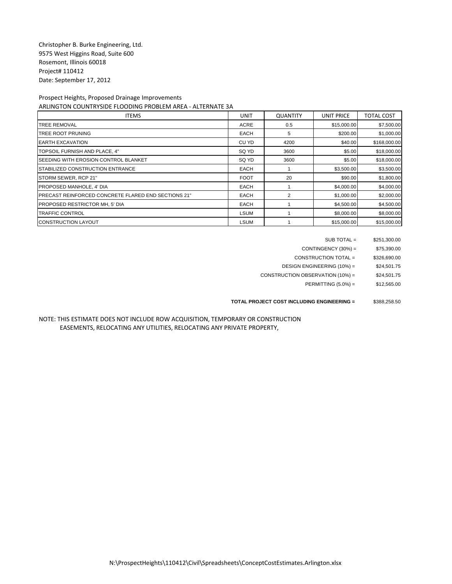| <b>ITEMS</b>                                                | <b>UNIT</b> | <b>QUANTITY</b> | <b>UNIT PRICE</b> | <b>TOTAL COST</b> |
|-------------------------------------------------------------|-------------|-----------------|-------------------|-------------------|
| <b>TREE REMOVAL</b>                                         | <b>ACRE</b> | 0.5             | \$15,000.00       | \$7,500.00        |
| <b>TREE ROOT PRUNING</b>                                    | <b>EACH</b> | 5               | \$200.00          | \$1,000.00        |
| <b>EARTH EXCAVATION</b>                                     | CU YD       | 4200            | \$40.00           | \$168,000.00      |
| TOPSOIL FURNISH AND PLACE, 4"                               | SQ YD       | 3600            | \$5.00            | \$18,000.00       |
| <b>ISEEDING WITH EROSION CONTROL BLANKET</b>                | SQ YD       | 3600            | \$5.00            | \$18,000.00       |
| STABILIZED CONSTRUCTION ENTRANCE                            | <b>EACH</b> |                 | \$3,500.00        | \$3,500.00        |
| STORM SEWER, RCP 21"                                        | <b>FOOT</b> | 20              | \$90.00           | \$1,800.00        |
| PROPOSED MANHOLE, 4' DIA                                    | <b>EACH</b> |                 | \$4,000.00        | \$4,000.00        |
| <b>IPRECAST REINFORCED CONCRETE FLARED END SECTIONS 21"</b> | <b>EACH</b> |                 | \$1,000.00        | \$2,000.00        |
| PROPOSED RESTRICTOR MH, 5' DIA                              | <b>EACH</b> |                 | \$4,500.00        | \$4,500.00        |
| <b>TRAFFIC CONTROL</b>                                      | <b>LSUM</b> |                 | \$8,000.00        | \$8,000.00        |
| <b>CONSTRUCTION LAYOUT</b>                                  | <b>LSUM</b> |                 | \$15,000.00       | \$15,000.00       |

| $SUB TOTAL =$ | \$251,300.00 |
|---------------|--------------|
|               |              |

CONTINGENCY (30%) = \$75,390.00

CONSTRUCTION TOTAL = \$326,690.00

DESIGN ENGINEERING (10%) = \$24,501.75

CONSTRUCTION OBSERVATION (10%) = \$24,501.75

PERMITTING (5.0%) = \$12,565.00

**TOTAL PROJECT COST INCLUDING ENGINEERING =** \$388,258.50

NOTE: THIS ESTIMATE DOES NOT INCLUDE ROW ACQUISITION, TEMPORARY OR CONSTRUCTION EASEMENTS, RELOCATING ANY UTILITIES, RELOCATING ANY PRIVATE PROPERTY,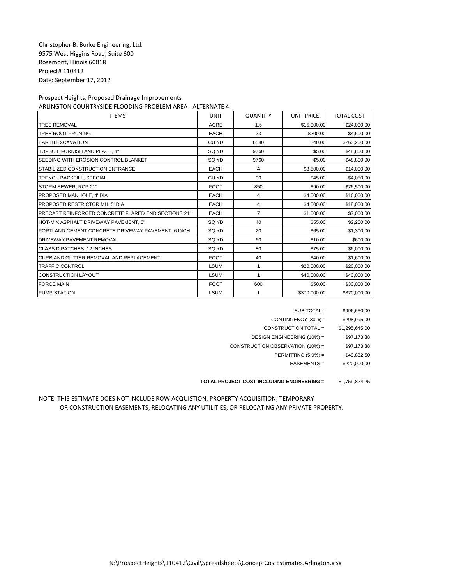| <b>ITEMS</b>                                        | <b>UNIT</b> | <b>QUANTITY</b> | <b>UNIT PRICE</b> | <b>TOTAL COST</b> |
|-----------------------------------------------------|-------------|-----------------|-------------------|-------------------|
| <b>TREE REMOVAL</b>                                 | <b>ACRE</b> | 1.6             | \$15,000.00       | \$24,000.00       |
| <b>TREE ROOT PRUNING</b>                            | <b>EACH</b> | 23              | \$200.00          | \$4,600.00        |
| <b>EARTH EXCAVATION</b>                             | CU YD       | 6580            | \$40.00           | \$263,200.00      |
| TOPSOIL FURNISH AND PLACE. 4"                       | SQ YD       | 9760            | \$5.00            | \$48,800.00       |
| SEEDING WITH EROSION CONTROL BLANKET                | SQ YD       | 9760            | \$5.00            | \$48,800.00       |
| STABILIZED CONSTRUCTION ENTRANCE                    | <b>EACH</b> | 4               | \$3,500.00        | \$14,000.00       |
| TRENCH BACKFILL, SPECIAL                            | CU YD       | 90              | \$45.00           | \$4,050.00        |
| STORM SEWER, RCP 21"                                | <b>FOOT</b> | 850             | \$90.00           | \$76,500.00       |
| PROPOSED MANHOLE, 4' DIA                            | <b>EACH</b> | 4               | \$4,000.00        | \$16,000.00       |
| PROPOSED RESTRICTOR MH, 5' DIA                      | <b>EACH</b> | 4               | \$4,500.00        | \$18,000.00       |
| PRECAST REINFORCED CONCRETE FLARED END SECTIONS 21" | <b>EACH</b> | 7               | \$1,000.00        | \$7,000.00        |
| HOT-MIX ASPHALT DRIVEWAY PAVEMENT, 6"               | SQ YD       | 40              | \$55.00           | \$2,200.00        |
| PORTLAND CEMENT CONCRETE DRIVEWAY PAVEMENT, 6 INCH  | SQ YD       | 20              | \$65.00           | \$1,300.00        |
| DRIVEWAY PAVEMENT REMOVAL                           | SQ YD       | 60              | \$10.00           | \$600.00          |
| CLASS D PATCHES, 12 INCHES                          | SQ YD       | 80              | \$75.00           | \$6,000.00        |
| CURB AND GUTTER REMOVAL AND REPLACEMENT             | <b>FOOT</b> | 40              | \$40.00           | \$1,600.00        |
| <b>TRAFFIC CONTROL</b>                              | <b>LSUM</b> | 1               | \$20,000.00       | \$20,000.00       |
| <b>CONSTRUCTION LAYOUT</b>                          | <b>LSUM</b> | 1               | \$40,000.00       | \$40,000.00       |
| <b>FORCE MAIN</b>                                   | <b>FOOT</b> | 600             | \$50.00           | \$30,000.00       |
| <b>PUMP STATION</b>                                 | <b>LSUM</b> | 1               | \$370,000.00      | \$370,000.00      |

| SUB TOTAL =                      | \$996,650.00   |
|----------------------------------|----------------|
| CONTINGENCY $(30%) =$            | \$298,995.00   |
| CONSTRUCTION TOTAL =             | \$1,295,645.00 |
| DESIGN ENGINEERING (10%) =       | \$97,173.38    |
| CONSTRUCTION OBSERVATION (10%) = | \$97,173.38    |
| PERMITTING $(5.0\%)$ =           | \$49,832.50    |
| $EASEMENTS =$                    | \$220,000.00   |
|                                  |                |

**TOTAL PROJECT COST INCLUDING ENGINEERING =** \$1,759,824.25

NOTE: THIS ESTIMATE DOES NOT INCLUDE ROW ACQUISTION, PROPERTY ACQUISITION, TEMPORARY OR CONSTRUCTION EASEMENTS, RELOCATING ANY UTILITIES, OR RELOCATING ANY PRIVATE PROPERTY.